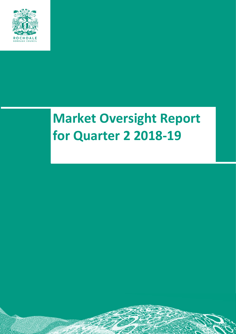

# **Market Oversight Report for Quarter 2 2018-19**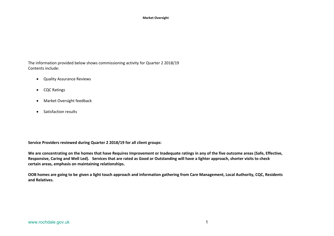The information provided below shows commissioning activity for Quarter 2 2018/19 Contents include:

- Quality Assurance Reviews
- CQC Ratings
- Market Oversight feedback
- Satisfaction results

**Service Providers reviewed during Quarter 2 2018/19 for all client groups:**

We are concentrating on the homes that have Requires Improvement or Inadequate ratings in any of the five outcome areas (Safe, Effective, Responsive, Caring and Well Led). Services that are rated as Good or Outstanding will have a lighter approach, shorter visits to check **certain areas, emphasis on maintaining relationships.**

OOB homes are going to be given a light touch approach and information gathering from Care Management, Local Authority, CQC, Residents **and Relatives.**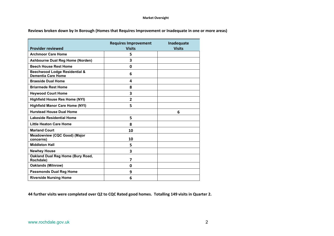**Reviews broken down by In Borough (Homes that Requires Improvement or Inadequate in one or more areas)**

|                                                                       | <b>Requires Improvement</b> | Inadequate    |
|-----------------------------------------------------------------------|-----------------------------|---------------|
| <b>Provider reviewed</b>                                              | <b>Visits</b>               | <b>Visits</b> |
| <b>Archmoor Care Home</b>                                             | 5                           |               |
| <b>Ashbourne Dual Reg Home (Norden)</b>                               | 3                           |               |
| <b>Beech House Rest Home</b>                                          | 0                           |               |
| <b>Beechwood Lodge Residential &amp;</b><br><b>Dementia Care Home</b> | 6                           |               |
| <b>Braeside Dual Home</b>                                             | 4                           |               |
| <b>Briarmede Rest Home</b>                                            | 8                           |               |
| <b>Heywood Court Home</b>                                             | 3                           |               |
| <b>Highfield House Res Home (NYI)</b>                                 | $\overline{2}$              |               |
| <b>Highfield Manor Care Home (NYI)</b>                                | 5                           |               |
| <b>Hurstead House Dual Home</b>                                       |                             | 6             |
| <b>Lakeside Residential Home</b>                                      | 5                           |               |
| <b>Little Heaton Care Home</b>                                        | 8                           |               |
| <b>Marland Court</b>                                                  | 10                          |               |
| Meadowview (CQC Good) (Major<br>concerns)                             | 10                          |               |
| <b>Middleton Hall</b>                                                 | 5                           |               |
| <b>Newhey House</b>                                                   | 3                           |               |
| <b>Oakland Dual Reg Home (Bury Road,</b><br>Rochdale)                 | 7                           |               |
| <b>Oaklands (Milnrow)</b>                                             | 0                           |               |
| <b>Passmonds Dual Reg Home</b>                                        | 9                           |               |
| <b>Riverside Nursing Home</b>                                         | 6                           |               |

**44 further visits were completed over Q2 to CQC Rated good homes. Totalling 149 visits in Quarter 2.**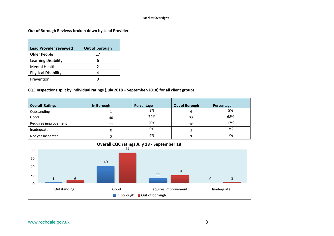## **Out of Borough Reviews broken down by Lead Provider**

| <b>Lead Provider reviewed</b> | Out of borough |
|-------------------------------|----------------|
| Older People                  | 17             |
| Learning Disability           | 6              |
| <b>Mental Health</b>          | 2              |
| <b>Physical Disability</b>    | 4              |
| Prevention                    |                |

## **CQC Inspections split by individual ratings (July 2018 – September-2018) for all client groups:**

| <b>Overall Ratings</b>         | In Borough | Percentage                                        | <b>Out of Borough</b> | Percentage                     |
|--------------------------------|------------|---------------------------------------------------|-----------------------|--------------------------------|
| Outstanding                    | 4          | 2%                                                | 6                     | 5%                             |
| Good                           | 40         | 74%                                               | 72                    | 68%                            |
| Requires improvement           | 11         | 20%                                               | 18                    | 17%                            |
| Inadequate                     | 0          | 0%                                                | 3                     | 3%                             |
| Not yet Inspected              | 2          | 4%                                                | 7                     | 7%                             |
|                                | 72         | <b>Overall CQC ratings July 18 - September 18</b> |                       |                                |
| 80                             |            |                                                   |                       |                                |
| 60                             |            |                                                   |                       |                                |
| 40                             | 40         |                                                   | 18                    |                                |
| 20<br>$\overline{a}$<br>$\sim$ |            | 11                                                |                       | $\sim$ $\sim$ $\sim$<br>$\sim$ |

| ້ |             |      |                           |            |
|---|-------------|------|---------------------------|------------|
|   | Outstanding | Good | Requires improvement      | Inadequate |
|   |             |      | In borough Out of borough |            |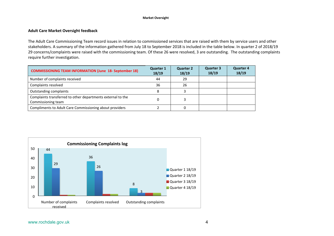## **Adult Care Market Oversight feedback**

The Adult Care Commissioning Team record issues in relation to commissioned services that are raised with them by service users and other stakeholders. A summary of the information gathered from July 18 to September 2018 is included in the table below. In quarter 2 of 2018/19 29 concerns/complaints were raised with the commissioning team. Of these 26 were resolved, 3 are outstanding. The outstanding complaints require further investigation.

| <b>COMMISSIONING TEAM INFORMATION (June 18- September 18)</b>                     | <b>Quarter 1</b><br>18/19 | <b>Quarter 2</b><br>18/19 | <b>Quarter 3</b><br>18/19 | <b>Quarter 4</b><br>18/19 |
|-----------------------------------------------------------------------------------|---------------------------|---------------------------|---------------------------|---------------------------|
| Number of complaints received                                                     | 44                        | 29                        |                           |                           |
| Complaints resolved                                                               | 36                        | 26                        |                           |                           |
| <b>Outstanding complaints</b>                                                     |                           |                           |                           |                           |
| Complaints transferred to other departments external to the<br>Commissioning team |                           |                           |                           |                           |
| Compliments to Adult Care Commissioning about providers                           |                           |                           |                           |                           |

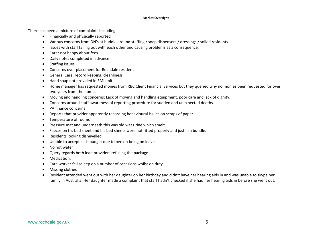There has been a mixture of complaints including:

- Financially and physically reported
- Various concerns from DN's at huddle around staffing / soap dispensers / dressings / soiled residents.
- Issues with staff falling out with each other and causing problems as a consequence.
- Carer not happy about fees
- Daily notes completed in advance
- Staffing issues
- Concerns over placement for Rochdale resident
- General Care, record keeping, cleanliness
- Hand soap not provided in EMI unit
- Home manager has requested monies from RBC Client Financial Services but they queried why no monies been requested for over two years from the home.
- Moving and handling concerns; Lack of moving and handling equipment, poor care and lack of dignity.
- Concerns around staff awareness of reporting procedure for sudden and unexpected deaths.
- PA finance concerns
- Reports that provider apparently recording behavioural issues on scraps of paper
- Temperature of rooms
- Pressure mat and underneath this was old wet urine which smelt
- Faeces on his bed sheet and his bed sheets were not fitted properly and just in a bundle.
- Residents looking dishevelled
- Unable to accept cash budget due to person being on leave.
- No hot water
- Query regards both lead providers refusing the package.
- Medication.
- Care worker fell asleep on a number of occasions whilst on duty
- Missing clothes
- Resident attended went out with her daughter on her birthday and didn't have her hearing aids in and was unable to skype her family in Australia. Her daughter made a complaint that staff hadn't checked if she had her hearing aids in before she went out.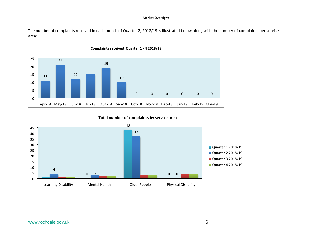The number of complaints received in each month of Quarter 2, 2018/19 is illustrated below along with the number of complaints per service area:



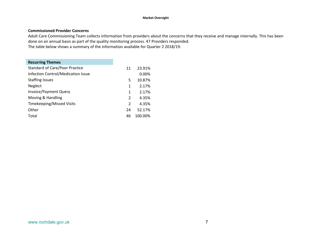## **Commissioned Provider Concerns**

Adult Care Commissioning Team collects information from providers about the concerns that they receive and manage internally. This has been done on an annual basis as part of the quality monitoring process. 47 Providers responded. The table below shows a summary of the information available for Quarter 2 2018/19:

# **Recurring Themes**

| <b>Standard of Care/Poor Practice</b> | 11            | 23.91%  |
|---------------------------------------|---------------|---------|
| Infection Control/Medication Issue    |               | 0.00%   |
| <b>Staffing Issues</b>                | 5             | 10.87%  |
| <b>Neglect</b>                        | 1             | 2.17%   |
| Invoice/Payment Query                 | 1             | 2.17%   |
| Moving & Handling                     | $\mathcal{P}$ | 4.35%   |
| <b>Timekeeping/Missed Visits</b>      | $\mathcal{P}$ | 4.35%   |
| Other                                 | 24            | 52.17%  |
| Total                                 | 46            | 100.00% |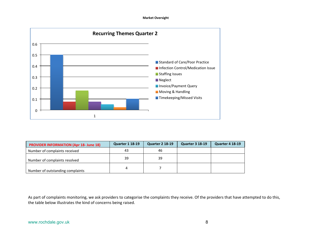

| <b>PROVIDER INFORMATION (Apr 18- June 18)</b> | <b>Quarter 1 18-19</b> | <b>Quarter 2 18-19</b> | <b>Quarter 3 18-19</b> | <b>Quarter 4 18-19</b> |
|-----------------------------------------------|------------------------|------------------------|------------------------|------------------------|
| Number of complaints received                 | 43                     | 46                     |                        |                        |
| Number of complaints resolved                 | 39                     | 39                     |                        |                        |
| Number of outstanding complaints              |                        |                        |                        |                        |

As part of complaints monitoring, we ask providers to categorise the complaints they receive. Of the providers that have attempted to do this, the table below illustrates the kind of concerns being raised.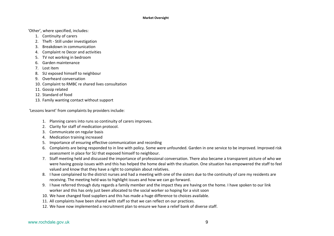'Other', where specified, includes:

- 1. Continuity of carers
- 2. Theft Still under investigation
- 3. Breakdown in communication
- 4. Complaint re Decor and activities
- 5. TV not working in bedroom
- 6. Garden maintenance
- 7. Lost item
- 8. SU exposed himself to neighbour
- 9. Overheard conversation
- 10. Complaint to RMBC re shared lives consultation
- 11. Gossip related
- 12. Standard of food
- 13. Family wanting contact without support

'Lessons learnt' from complaints by providers include:

- 1. Planning carers into runs so continuity of carers improves.
- 2. Clarity for staff of medication protocol.
- 3. Communicate on regular basis
- 4. Medication training increased
- 5. Importance of ensuring effective communication and recording
- 6. Complaints are being responded to in line with policy. Some were unfounded. Garden in one service to be improved. Improved risk assessment in place for SU that exposed himself to neighbour.
- 7. Staff meeting held and discussed the importance of professional conversation. There also became a transparent picture of who we were having gossip issues with and this has helped the home deal with the situation. One situation has empowered the staff to feel valued and know that they have a right to complain about relatives.
- 8. I have complained to the district nurses and had a meeting with one of the sisters due to the continuity of care my residents are receiving. The meeting held was to highlight issues and how we can go forward.
- 9. I have referred through duty regards a family member and the impact they are having on the home. I have spoken to our link worker and this has only just been allocated to the social worker so hoping for a visit soon
- 10. We have changed food suppliers and this has made a huge difference to choices available.
- 11. All complaints have been shared with staff so that we can reflect on our practices.
- 12. We have now implemented a recruitment plan to ensure we have a relief bank of diverse staff.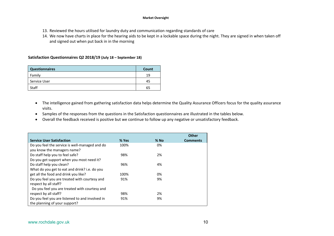- 13. Reviewed the hours utilised for laundry duty and communication regarding standards of care
- 14. We now have charts in place for the hearing aids to be kept in a lockable space during the night. They are signed in when taken off and signed out when put back in in the morning

## **Satisfaction Questionnaires Q2 2018/19 (July 18 – September 18)**

| <b>Questionnaires</b> | Count |
|-----------------------|-------|
| Family                | 19    |
| Service User          | 45    |
| Staff                 | 65    |

- The intelligence gained from gathering satisfaction data helps determine the Quality Assurance Officers focus for the quality assurance visits.
- Samples of the responses from the questions in the Satisfaction questionnaires are illustrated in the tables below.
- Overall the feedback received is positive but we continue to follow up any negative or unsatisfactory feedback.

|                                                                               |       |        | <b>Other</b>    |
|-------------------------------------------------------------------------------|-------|--------|-----------------|
| <b>Service User Satisfaction</b>                                              | % Yes | $%$ No | <b>Comments</b> |
| Do you feel the service is well-managed and do<br>you know the managers name? | 100%  | 0%     |                 |
| Do staff help you to feel safe?                                               | 98%   | 2%     |                 |
| Do you get support when you most need it?                                     |       |        |                 |
| Do staff help you clean?                                                      | 96%   | 4%     |                 |
| What do you get to eat and drink? i.e. do you                                 |       |        |                 |
| get all the food and drink you like?                                          | 100%  | 0%     |                 |
| Do you feel you are treated with courtesy and                                 | 91%   | 9%     |                 |
| respect by all staff?                                                         |       |        |                 |
| Do you feel you are treated with courtesy and                                 |       |        |                 |
| respect by all staff?                                                         | 98%   | 2%     |                 |
| Do you feel you are listened to and involved in                               | 91%   | 9%     |                 |
| the planning of your support?                                                 |       |        |                 |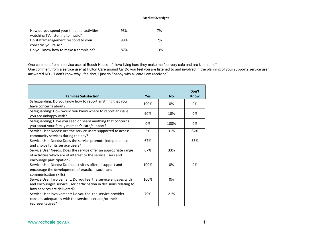| How do you spend your time, i.e. activities,<br>watching TV, listening to music? | 93% | 7%  |  |
|----------------------------------------------------------------------------------|-----|-----|--|
| Do staff/management respond to your<br>concerns you raise?                       | 98% | 2%  |  |
| Do you know how to make a complaint?                                             | 87% | 13% |  |

One comment from a service user at Beech House – "I love living here they make me feel very safe and are kind to me"

One comment from a service user at Hulton Care around Q7 Do you feel you are listened to and involved in the planning of your support? Service user answered NO - "I don't know why I feel that, I just do / happy with all care I am receiving".

| <b>Families Satisfaction</b>                                       | <b>Yes</b> | <b>No</b> | Don't<br><b>Know</b> |
|--------------------------------------------------------------------|------------|-----------|----------------------|
| Safeguarding: Do you know how to report anything that you          | 100%       | 0%        | 0%                   |
| have concerns about?                                               |            |           |                      |
| Safeguarding: How would you know where to report an issue          | 90%        | 10%       | 0%                   |
| you are unhappy with?                                              |            |           |                      |
| Safeguarding; Have you seen or heard anything that concerns        | 0%         | 100%      | 0%                   |
| you about your family member's care/support?                       |            |           |                      |
| Service User Needs: Are the service users supported to access      | 5%         | 31%       | 64%                  |
| community services during the day?                                 |            |           |                      |
| Service User Needs: Does the service promote independence          | 67%        |           | 33%                  |
| and choice for its service users?                                  |            |           |                      |
| Service User Needs: Does the service offer an appropriate range    | 67%        | 33%       |                      |
| of activities which are of interest to the service users and       |            |           |                      |
| encourage participation?                                           |            |           |                      |
| Service User Needs; Do the activities offered support and          | 100%       | 0%        | 0%                   |
| encourage the development of practical, social and                 |            |           |                      |
| communication skills?                                              |            |           |                      |
| Service User Involvement: Do you feel the service engages with     | 100%       | 0%        |                      |
| and encourages service user participation in decisions relating to |            |           |                      |
| how services are delivered?                                        |            |           |                      |
| Service User Involvement: Do you feel the service provider         | 79%        | 21%       |                      |
| consults adequately with the service user and/or their             |            |           |                      |
| representatives?                                                   |            |           |                      |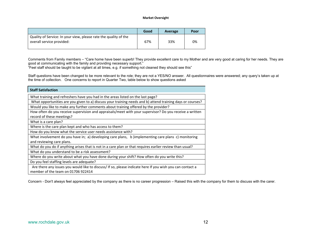|                                                                                               | Good | Average | Poor |
|-----------------------------------------------------------------------------------------------|------|---------|------|
| Quality of Service: In your view, please rate the quality of the<br>overall service provided: | 67%  | 33%     | 0%   |

Comments from Family members – "Care home have been superb! They provide excellent care to my Mother and are very good at caring for her needs. They are good at communicating with the family and providing necessary support."

"Feel staff should be taught to be vigilant at all times, e.g. if something not cleaned they should see this"

Staff questions have been changed to be more relevant to the role; they are not a YES/NO answer. All questionnaires were answered; any query's taken up at the time of collection. One concerns to report in Quarter Two, table below to show questions asked

| <b>Staff Satisfaction</b>                                                                                  |
|------------------------------------------------------------------------------------------------------------|
| What training and refreshers have you had in the areas listed on the last page?                            |
| What opportunities are you given to a) discuss your training needs and b) attend training days or courses? |
| Would you like to make any further comments about training offered by the provider?                        |
| How often do you receive supervision and appraisals/meet with your supervisor? Do you receive a written    |
| record of these meetings?                                                                                  |
| What is a care plan?                                                                                       |
| Where is the care plan kept and who has access to them?                                                    |
| How do you know what the service user needs assistance with?                                               |
| What involvement do you have in; a) developing care plans, b ) implementing care plans c) monitoring       |
| and reviewing care plans.                                                                                  |
| What do you do if anything arises that is not in a care plan or that requires earlier review than usual?   |
| What do you understand to be a risk assessment?                                                            |
| Where do you write about what you have done during your shift? How often do you write this?                |
| Do you feel staffing levels are adequate?                                                                  |
| Are there any issues you would like to discuss/ If so, please indicate here If you wish you can contact a  |
| member of the team on 01706 922414                                                                         |

Concern - Don't always feel appreciated by the company as there is no career progression – Raised this with the company for them to discuss with the carer.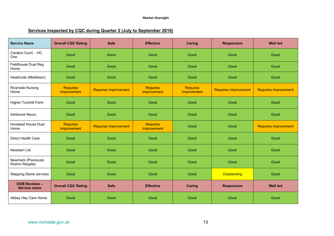# **Services Inspected by CQC during Quarter 2 (July to September 2018)**

| <b>Service Name</b>                         | <b>Overall CQC Rating</b>      | <b>Safe</b>                 | <b>Effective</b>               | <b>Caring</b>                         | <b>Responsive</b>           | <b>Well led</b>             |
|---------------------------------------------|--------------------------------|-----------------------------|--------------------------------|---------------------------------------|-----------------------------|-----------------------------|
| Carders Court - HC<br>One                   | Good                           | Good                        | Good                           | Good                                  | Good                        | Good                        |
| Fieldhouse Dual Reg<br>Home                 | Good                           | Good                        | Good                           | Good                                  | Good                        | Good                        |
| Heathcote (Middleton)                       | Good                           | Good                        | Good                           | Good                                  | Good                        | Good                        |
| <b>Riverside Nursing</b><br>Home            | <b>Requires</b><br>Improvement | <b>Requires Improvement</b> | <b>Requires</b><br>Improvement | <b>Requires</b><br><b>Improvement</b> | <b>Requires Improvement</b> | <b>Requires Improvement</b> |
| Higher Tunshill Farm                        | Good                           | Good                        | Good                           | Good                                  | Good                        | Good                        |
| Ashbrook Neuro                              | Good                           | Good                        | Good                           | Good                                  | Good                        | Good                        |
| Hurstead House Dual<br>Home                 | <b>Requires</b><br>Improvement | <b>Requires Improvement</b> | <b>Requires</b><br>Improvement | Good                                  | Good                        | <b>Requires Improvement</b> |
| Direct Health Care                          | Good                           | Good                        | Good                           | Good                                  | Good                        | Good                        |
| Newbarn Ltd                                 | Good                           | Good                        | Good                           | Good                                  | Good                        | Good                        |
| Newmark (Previously<br>Roshni Respite)      | Good                           | Good                        | Good                           | Good                                  | Good                        | Good                        |
| <b>Stepping Stone services</b>              | Good                           | Good                        | Good                           | Good                                  | Outstanding                 | Good                        |
| <b>OOB Reviews -</b><br><b>Service name</b> | <b>Overall CQC Rating</b>      | <b>Safe</b>                 | <b>Effective</b>               | <b>Caring</b>                         | <b>Responsive</b>           | <b>Well led</b>             |
| Abbey Hey Care Home                         | Good                           | Good                        | Good                           | Good                                  | Good                        | Good                        |